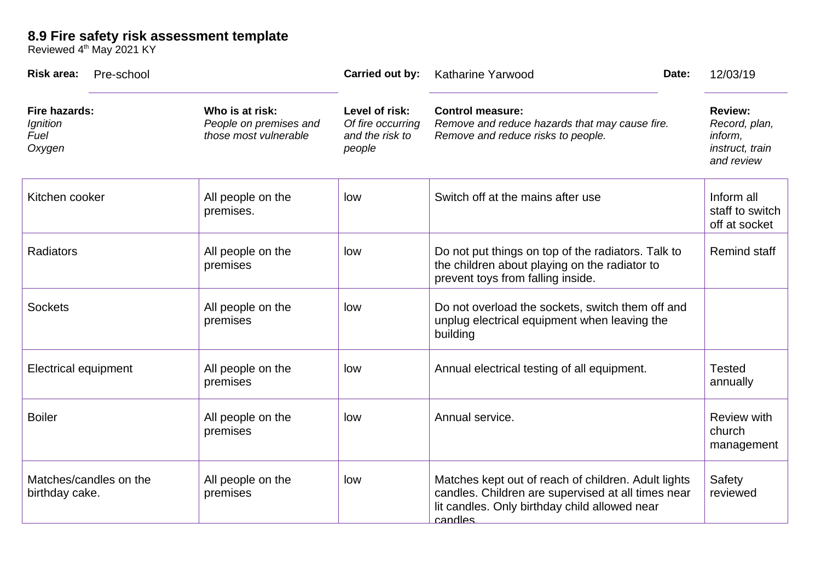## **8.9 Fire safety risk assessment template**

Reviewed 4<sup>th</sup> May 2021 KY

| <b>Risk area:</b><br>Pre-school                    |                                                                    | Carried out by:                                                  | Katharine Yarwood                                                                                                                                                     | Date: | 12/03/19                                                                    |
|----------------------------------------------------|--------------------------------------------------------------------|------------------------------------------------------------------|-----------------------------------------------------------------------------------------------------------------------------------------------------------------------|-------|-----------------------------------------------------------------------------|
| <b>Fire hazards:</b><br>Ignition<br>Fuel<br>Oxygen | Who is at risk:<br>People on premises and<br>those most vulnerable | Level of risk:<br>Of fire occurring<br>and the risk to<br>people | <b>Control measure:</b><br>Remove and reduce hazards that may cause fire.<br>Remove and reduce risks to people.                                                       |       | <b>Review:</b><br>Record, plan,<br>inform,<br>instruct, train<br>and review |
| Kitchen cooker                                     | All people on the<br>premises.                                     | low                                                              | Switch off at the mains after use                                                                                                                                     |       | Inform all<br>staff to switch<br>off at socket                              |
| Radiators                                          | All people on the<br>premises                                      | low                                                              | Do not put things on top of the radiators. Talk to<br>the children about playing on the radiator to<br>prevent toys from falling inside.                              |       | <b>Remind staff</b>                                                         |
| <b>Sockets</b>                                     | All people on the<br>premises                                      | low                                                              | Do not overload the sockets, switch them off and<br>unplug electrical equipment when leaving the<br>building                                                          |       |                                                                             |
| <b>Electrical equipment</b>                        | All people on the<br>premises                                      | low                                                              | Annual electrical testing of all equipment.                                                                                                                           |       | Tested<br>annually                                                          |
| <b>Boiler</b>                                      | All people on the<br>premises                                      | low                                                              | Annual service.                                                                                                                                                       |       | <b>Review with</b><br>church<br>management                                  |
| Matches/candles on the<br>birthday cake.           | All people on the<br>premises                                      | low                                                              | Matches kept out of reach of children. Adult lights<br>candles. Children are supervised at all times near<br>lit candles. Only birthday child allowed near<br>candles |       | Safety<br>reviewed                                                          |